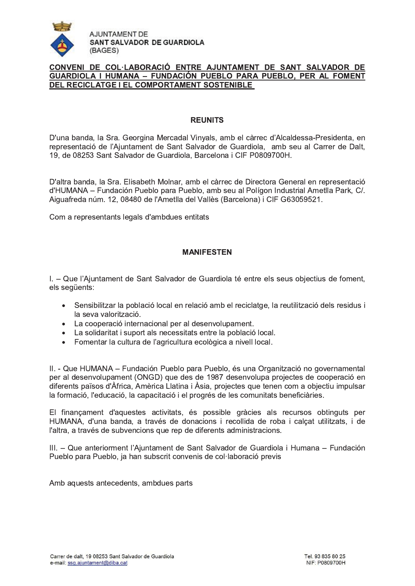

## CONVENI DE COL·LABORACIÓ ENTRE AJUNTAMENT DE SANT SALVADOR DE GUARDIOLA I HUMANA - FUNDACIÓN PUEBLO PARA PUEBLO, PER AL FOMENT DEL RECICLATGE I EL COMPORTAMENT SOSTENIBLE

#### **REUNITS**

D'una banda, la Sra. Georgina Mercadal Vinyals, amb el càrrec d'Alcaldessa-Presidenta, en representació de l'Ajuntament de Sant Salvador de Guardiola, amb seu al Carrer de Dalt, 19, de 08253 Sant Salvador de Guardiola, Barcelona i CIF P0809700H.

D'altra banda, la Sra, Elisabeth Molnar, amb el càrrec de Directora General en representació d'HUMANA - Fundación Pueblo para Pueblo, amb seu al Polígon Industrial Ametlla Park, C/. Aiguafreda núm. 12, 08480 de l'Ametlla del Vallès (Barcelona) i CIF G63059521.

Com a representants legals d'ambdues entitats

#### **MANIFESTEN**

I. - Que l'Ajuntament de Sant Salvador de Guardiola té entre els seus objectius de foment, els següents:

- Sensibilitzar la població local en relació amb el reciclatge, la reutilització dels residus i la seva valorització.
- La cooperació internacional per al desenvolupament.
- La solidaritat i suport als necessitats entre la població local.
- · Fomentar la cultura de l'agricultura ecològica a nivell local.

II. - Que HUMANA - Fundación Pueblo para Pueblo, és una Organització no governamental per al desenvolupament (ONGD) que des de 1987 desenvolupa projectes de cooperació en diferents països d'Àfrica. Amèrica Llatina i Àsia, projectes que tenen com a objectiu impulsar la formació, l'educació, la capacitació i el progrés de les comunitats beneficiàries.

El finançament d'aquestes activitats, és possible gràcies als recursos obtinguts per HUMANA, d'una banda, a través de donacions i recollida de roba i calcat utilitzats, i de l'altra, a través de subvencions que rep de diferents administracions.

III. - Que anteriorment l'Aiuntament de Sant Salvador de Guardiola i Humana - Fundación Pueblo para Pueblo, ja han subscrit convenis de col·laboració previs

Amb aquests antecedents, ambdues parts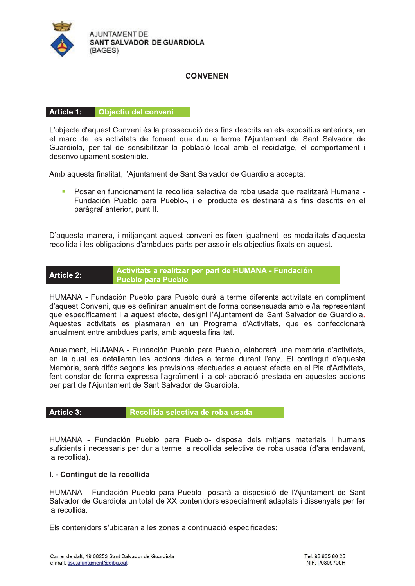

# **CONVENEN**

## Article 1: Objectiu del conveni

L'objecte d'aquest Conveni és la prossecució dels fins descrits en els expositius anteriors, en el marc de les activitats de foment que duu a terme l'Ajuntament de Sant Salvador de Guardiola, per tal de sensibilitzar la població local amb el reciclatge, el comportament i desenvolupament sostenible.

Amb aquesta finalitat, l'Ajuntament de Sant Salvador de Guardiola accepta:

Posar en funcionament la recollida selectiva de roba usada que realitzarà Humana - $\bar{\phantom{a}}$ Fundación Pueblo para Pueblo-, i el producte es destinarà als fins descrits en el paràgraf anterior, punt II.

D'aquesta manera, i mitjançant aquest conveni es fixen igualment les modalitats d'aquesta recollida i les obligacions d'ambdues parts per assolir els objectius fixats en aquest.

#### Activitats a realitzar per part de HUMANA - Fundación **Article 2: Pueblo para Pueblo**

HUMANA - Fundación Pueblo para Pueblo durà a terme diferents activitats en compliment d'aquest Conveni, que es definiran anualment de forma consensuada amb el/la representant que específicament i a aquest efecte, designi l'Ajuntament de Sant Salvador de Guardiola. Aquestes activitats es plasmaran en un Programa d'Activitats, que es confeccionarà anualment entre ambdues parts, amb aquesta finalitat.

Anualment, HUMANA - Fundación Pueblo para Pueblo, elaborarà una memòria d'activitats, en la qual es detallaran les accions dutes a terme durant l'any. El contingut d'aquesta Memòria, serà difós segons les previsions efectuades a aquest efecte en el Pla d'Activitats, fent constar de forma expressa l'agraïment i la col·laboració prestada en aquestes accions per part de l'Aiuntament de Sant Salvador de Guardiola.

# Article 3:

Recollida selectiva de roba usada

HUMANA - Fundación Pueblo para Pueblo- disposa dels mitjans materials i humans suficients i necessaris per dur a terme la recollida selectiva de roba usada (d'ara endavant, la recollida).

## I. - Contingut de la recollida

HUMANA - Fundación Pueblo para Pueblo- posarà a disposició de l'Ajuntament de Sant Salvador de Guardiola un total de XX contenidors especialment adaptats i dissenyats per fer la recollida.

Els contenidors s'ubicaran a les zones a continuació especificades: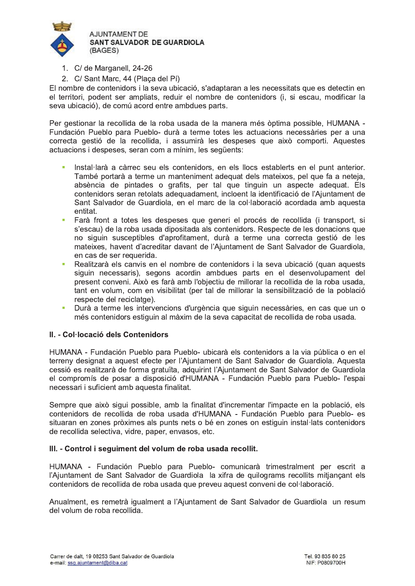

- 1. C/ de Marganell, 24-26
- 2. C/ Sant Marc, 44 (Plaça del Pí)

El nombre de contenidors i la seva ubicació, s'adaptaran a les necessitats que es detectin en el territori, podent ser ampliats, reduir el nombre de contenidors (i, si escau, modificar la seva ubicació), de comú acord entre ambdues parts.

Per gestionar la recollida de la roba usada de la manera més òptima possible, HUMANA -Fundación Pueblo para Pueblo- durà a terme totes les actuacions necessàries per a una correcta gestió de la recollida, i assumirà les despeses que això comporti. Aquestes actuacions i despeses, seran com a mínim, les sequents:

- Instal·larà a càrrec seu els contenidors, en els llocs establerts en el punt anterior. m. També portarà a terme un manteniment adequat dels mateixos, pel que fa a neteja, absència de pintades o grafits, per tal que tinguin un aspecte adequat. Els contenidors seran retolats adequadament, incloent la identificació de l'Ajuntament de Sant Salvador de Guardiola, en el marc de la col·laboració acordada amb aquesta entitat
- Farà front a totes les despeses que generi el procés de recollida (i transport, si m. s'escau) de la roba usada dipositada als contenidors. Respecte de les donacions que no siguin susceptibles d'aprofitament, durà a terme una correcta gestió de les mateixes, havent d'acreditar davant de l'Ajuntament de Sant Salvador de Guardiola, en cas de ser requerida.
- Realitzarà els canvis en el nombre de contenidors i la seva ubicació (quan aquests ù. siguin necessaris), segons acordin ambdues parts en el desenvolupament del present conveni. Això es farà amb l'objectiu de millorar la recollida de la roba usada, tant en volum, com en visibilitat (per tal de millorar la sensibilització de la població respecte del reciclatge).
- Durà a terme les intervencions d'urgència que siguin necessàries, en cas que un o més contenidors estiguin al màxim de la seva capacitat de recollida de roba usada.

## II. - Col·locació dels Contenidors

HUMANA - Fundación Pueblo para Pueblo- ubicarà els contenidors a la via pública o en el terreny designat a aquest efecte per l'Ajuntament de Sant Salvador de Guardiola. Aquesta cessió es realitzarà de forma gratuïta, adquirint l'Ajuntament de Sant Salvador de Guardiola el compromís de posar a disposició d'HUMANA - Fundación Pueblo para Pueblo-l'espai necessari i suficient amb aquesta finalitat.

Sempre que això sigui possible, amb la finalitat d'incrementar l'impacte en la població, els contenidors de recollida de roba usada d'HUMANA - Fundación Pueblo para Pueblo- es situaran en zones pròximes als punts nets o bé en zones on estiguin instal·lats contenidors de recollida selectiva, vidre, paper, envasos, etc.

## III. - Control i sequiment del volum de roba usada recollit.

HUMANA - Fundación Pueblo para Pueblo- comunicarà trimestralment per escrit a l'Ajuntament de Sant Salvador de Guardiola la xifra de quilograms recollits mitjançant els contenidors de recollida de roba usada que preveu aquest conveni de col·laboració.

Anualment, es remetrà igualment a l'Ajuntament de Sant Salvador de Guardiola un resum del volum de roba recollida.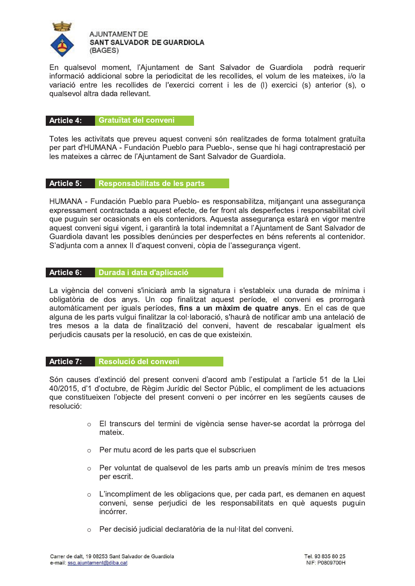

En qualsevol moment, l'Ajuntament de Sant Salvador de Guardiola podrà requerir informació addicional sobre la periodicitat de les recollides, el volum de les mateixes, i/o la variació entre les recollides de l'exercici corrent i les de (I) exercici (s) anterior (s), o qualsevol altra dada rellevant.

#### Article 4: **Gratuïtat del conveni**

Totes les activitats que preveu aquest conveni són realitzades de forma totalment gratuïta per part d'HUMANA - Fundación Pueblo para Pueblo-, sense que hi hagi contraprestació per les mateixes a càrrec de l'Ajuntament de Sant Salvador de Guardiola.

## Article 5: Responsabilitats de les parts

HUMANA - Fundación Pueblo para Pueblo- es responsabilitza, mitjançant una assegurança expressament contractada a aquest efecte, de fer front als desperfectes i responsabilitat civil que puguin ser ocasionats en els contenidors. Aquesta asseguranca estarà en vigor mentre aquest conveni sigui vigent, i garantirà la total indemnitat a l'Ajuntament de Sant Salvador de Guardiola davant les possibles denúncies per desperfectes en béns referents al contenidor. S'adjunta com a annex II d'aquest conveni, còpia de l'assegurança vigent.

## Article 6: Durada i data d'aplicació

La vigència del conveni s'iniciarà amb la signatura i s'estableix una durada de mínima i obligatòria de dos anys. Un cop finalitzat aquest període, el conveni es prorrogarà automàticament per iguals períodes, fins a un màxim de quatre anys. En el cas de que alguna de les parts vulgui finalitzar la col·laboració, s'haurà de notificar amb una antelació de tres mesos a la data de finalització del conveni, havent de rescabalar jqualment els perjudicis causats per la resolució, en cas de que existeixin.

## Article 7: Resolució del conveni

Són causes d'extinció del present conveni d'acord amb l'estipulat a l'article 51 de la Llei 40/2015, d'1 d'octubre, de Règim Jurídic del Sector Públic, el compliment de les actuacions que constitueixen l'objecte del present conveni o per incórrer en les següents causes de resolució:

- o El transcurs del termini de vigència sense haver-se acordat la pròrroga del mateix
- o Per mutu acord de les parts que el subscriuen
- Per voluntat de qualsevol de les parts amb un preavís mínim de tres mesos  $\circ$ per escrit.
- $\circ$  L'incompliment de les obligacions que, per cada part, es demanen en aquest conveni, sense perjudici de les responsabilitats en què aquests puquin incórrer.
- o Per decisió judicial declaratòria de la nul·litat del conveni.